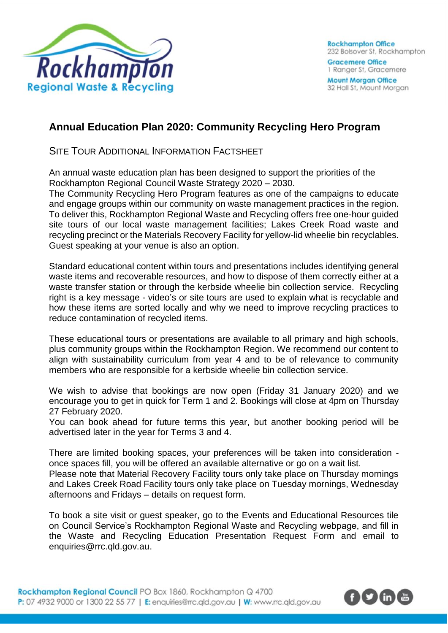

**Mount Morgan Office** 32 Hall St, Mount Morgan

## **Annual Education Plan 2020: Community Recycling Hero Program**

SITE TOUR ADDITIONAL INFORMATION FACTSHEET

An annual waste education plan has been designed to support the priorities of the Rockhampton Regional Council Waste Strategy 2020 – 2030.

The Community Recycling Hero Program features as one of the campaigns to educate and engage groups within our community on waste management practices in the region. To deliver this, Rockhampton Regional Waste and Recycling offers free one-hour guided site tours of our local waste management facilities; Lakes Creek Road waste and recycling precinct or the Materials Recovery Facility for yellow-lid wheelie bin recyclables. Guest speaking at your venue is also an option.

Standard educational content within tours and presentations includes identifying general waste items and recoverable resources, and how to dispose of them correctly either at a waste transfer station or through the kerbside wheelie bin collection service. Recycling right is a key message - video's or site tours are used to explain what is recyclable and how these items are sorted locally and why we need to improve recycling practices to reduce contamination of recycled items.

These educational tours or presentations are available to all primary and high schools, plus community groups within the Rockhampton Region. We recommend our content to align with sustainability curriculum from year 4 and to be of relevance to community members who are responsible for a kerbside wheelie bin collection service.

We wish to advise that bookings are now open (Friday 31 January 2020) and we encourage you to get in quick for Term 1 and 2. Bookings will close at 4pm on Thursday 27 February 2020.

You can book ahead for future terms this year, but another booking period will be advertised later in the year for Terms 3 and 4.

There are limited booking spaces, your preferences will be taken into consideration once spaces fill, you will be offered an available alternative or go on a wait list. Please note that Material Recovery Facility tours only take place on Thursday mornings

and Lakes Creek Road Facility tours only take place on Tuesday mornings, Wednesday afternoons and Fridays – details on request form.

To book a site visit or guest speaker, go to the Events and Educational Resources tile on Council Service's Rockhampton Regional Waste and Recycling webpage, and fill in the Waste and Recycling Education Presentation Request Form and email to [enquiries@rrc.qld.gov.au.](mailto:enquiries@rrc.qld.gov.au)